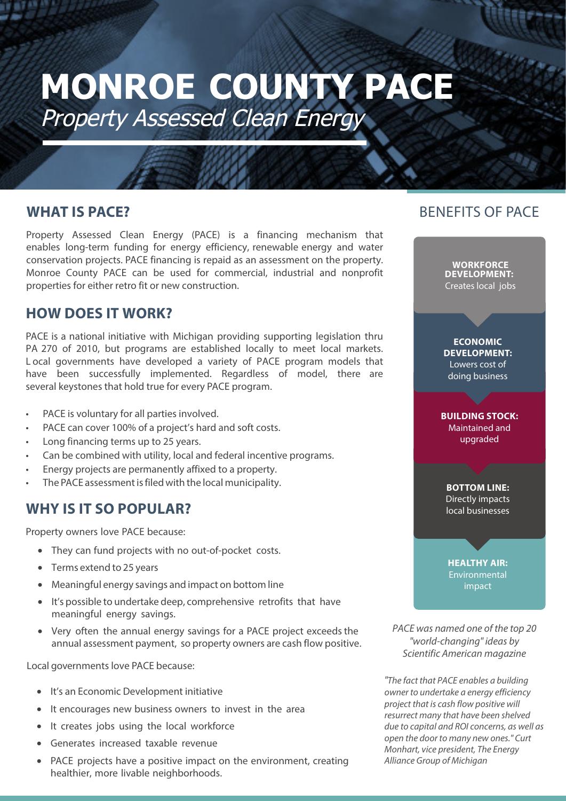# **MONROE COUNTY PACE** Property Assessed Clean Energy

#### **WHAT IS PACE?**

Property Assessed Clean Energy (PACE) is a financing mechanism that enables long-term funding for energy efficiency, renewable energy and water conservation projects. PACE financing is repaid as an assessment on the property. Monroe County PACE can be used for commercial, industrial and nonprofit properties for either retro fit or new construction.

### **HOW DOES IT WORK?**

PACE is a national initiative with Michigan providing supporting legislation thru PA 270 of 2010, but programs are established locally to meet local markets. L ocal governments have developed a variety of PACE program models that have been successfully implemented. Regardless of model, there are several keystones that hold true for every PACE program.

- PACE is voluntary for all parties involved.
- PACE can cover 100% of a project's hard and soft costs.
- Long financing terms up to 25 years.
- Can be combined with utility, local and federal incentive programs.
- Energy projects are permanently affixed to a property.
- The PACE assessment is filed with the local municipality.

### **WHY IS IT SO POPULAR?**

Property owners love PACE because:

- They can fund projects with no out-of-pocket costs.
- Terms extend to 25 years
- Meaningful energy savings and impact on bottom line
- It's possible to undertake deep, comprehensive retrofits that have meaningful energy savings.
- Very often the annual energy savings for a PACE project exceeds the annual assessment payment, so property owners are cash flow positive.

Local governments love PACE because:

- It's an Economic Development initiative
- It encourages new business owners to invest in the area
- It creates jobs using the local workforce
- Generates increased taxable revenue
- PACE projects have a positive impact on the environment, creating healthier, more livable neighborhoods.

## BENEFITS OF PACE

**WORKFORCE DEVELOPMENT:**  Creates local jobs

**ECONOMIC DEVELOPMENT:**  Lowers cost of doing business

**BUILDING STOCK:**  Maintained and upgraded

**BOTTOM LINE:**  Directly impacts local businesses

**HEALTHY AIR: Environmental** impact

PACE was named one of the top 20 "world-changing" ideas by Scientific American magazine

"The fact that PACE enables a building owner to undertake a energy efficiency project that is cash flow positive will resurrect many that have been shelved due to capital and ROI concerns, as well as open the door to many new ones." Curt Monhart, vice president, The Energy Alliance Group of Michigan